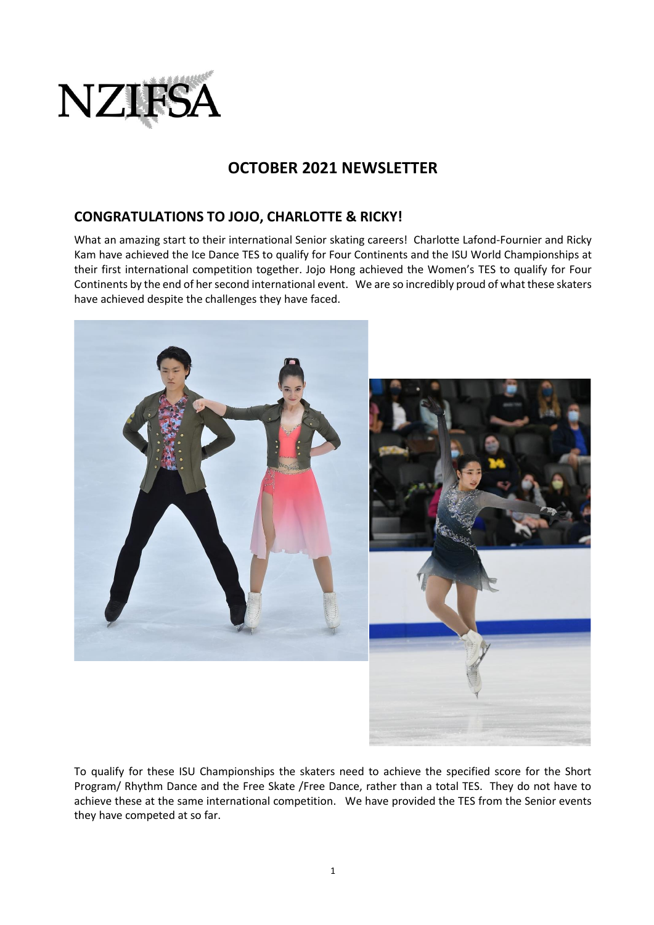

# **OCTOBER 2021 NEWSLETTER**

# **CONGRATULATIONS TO JOJO, CHARLOTTE & RICKY!**

What an amazing start to their international Senior skating careers! Charlotte Lafond-Fournier and Ricky Kam have achieved the Ice Dance TES to qualify for Four Continents and the ISU World Championships at their first international competition together. Jojo Hong achieved the Women's TES to qualify for Four Continents by the end of her second international event. We are so incredibly proud of what these skaters have achieved despite the challenges they have faced.



To qualify for these ISU Championships the skaters need to achieve the specified score for the Short Program/ Rhythm Dance and the Free Skate /Free Dance, rather than a total TES. They do not have to achieve these at the same international competition. We have provided the TES from the Senior events they have competed at so far.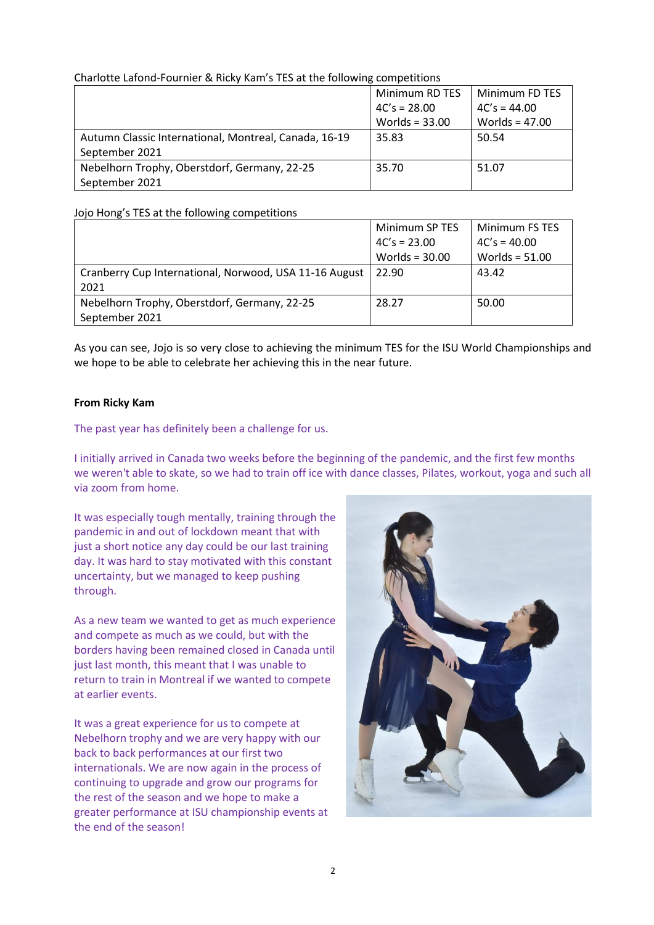#### Charlotte Lafond-Fournier & Ricky Kam's TES at the following competitions

|                                                       | Minimum RD TES   | Minimum FD TES   |
|-------------------------------------------------------|------------------|------------------|
|                                                       | $4C's = 28.00$   | $4C's = 44.00$   |
|                                                       | Worlds = $33.00$ | Worlds = $47.00$ |
| Autumn Classic International, Montreal, Canada, 16-19 | 35.83            | 50.54            |
| September 2021                                        |                  |                  |
| Nebelhorn Trophy, Oberstdorf, Germany, 22-25          | 35.70            | 51.07            |
| September 2021                                        |                  |                  |

#### Jojo Hong's TES at the following competitions

|                                                        | Minimum SP TES   | Minimum FS TES   |
|--------------------------------------------------------|------------------|------------------|
|                                                        | $4C's = 23.00$   | $4C's = 40.00$   |
|                                                        | Worlds = $30.00$ | Worlds = $51.00$ |
| Cranberry Cup International, Norwood, USA 11-16 August | 22.90            | 43.42            |
| 2021                                                   |                  |                  |
| Nebelhorn Trophy, Oberstdorf, Germany, 22-25           | 28.27            | 50.00            |
| September 2021                                         |                  |                  |

As you can see, Jojo is so very close to achieving the minimum TES for the ISU World Championships and we hope to be able to celebrate her achieving this in the near future.

#### **From Ricky Kam**

The past year has definitely been a challenge for us.

I initially arrived in Canada two weeks before the beginning of the pandemic, and the first few months we weren't able to skate, so we had to train off ice with dance classes, Pilates, workout, yoga and such all via zoom from home.

It was especially tough mentally, training through the pandemic in and out of lockdown meant that with just a short notice any day could be our last training day. It was hard to stay motivated with this constant uncertainty, but we managed to keep pushing through.

As a new team we wanted to get as much experience and compete as much as we could, but with the borders having been remained closed in Canada until just last month, this meant that I was unable to return to train in Montreal if we wanted to compete at earlier events.

It was a great experience for us to compete at Nebelhorn trophy and we are very happy with our back to back performances at our first two internationals. We are now again in the process of continuing to upgrade and grow our programs for the rest of the season and we hope to make a greater performance at ISU championship events at the end of the season!

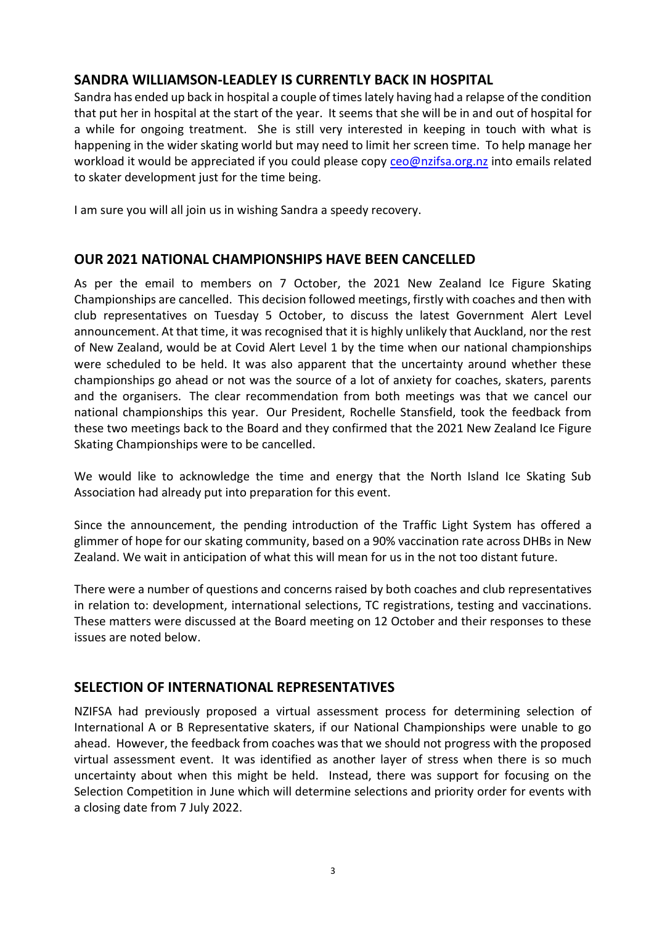# **SANDRA WILLIAMSON-LEADLEY IS CURRENTLY BACK IN HOSPITAL**

Sandra has ended up back in hospital a couple of times lately having had a relapse of the condition that put her in hospital at the start of the year. It seems that she will be in and out of hospital for a while for ongoing treatment. She is still very interested in keeping in touch with what is happening in the wider skating world but may need to limit her screen time. To help manage her workload it would be appreciated if you could please copy [ceo@nzifsa.org.nz](mailto:ceo@nzifsa.org.nz) into emails related to skater development just for the time being.

I am sure you will all join us in wishing Sandra a speedy recovery.

# **OUR 2021 NATIONAL CHAMPIONSHIPS HAVE BEEN CANCELLED**

As per the email to members on 7 October, the 2021 New Zealand Ice Figure Skating Championships are cancelled. This decision followed meetings, firstly with coaches and then with club representatives on Tuesday 5 October, to discuss the latest Government Alert Level announcement. At that time, it was recognised that it is highly unlikely that Auckland, nor the rest of New Zealand, would be at Covid Alert Level 1 by the time when our national championships were scheduled to be held. It was also apparent that the uncertainty around whether these championships go ahead or not was the source of a lot of anxiety for coaches, skaters, parents and the organisers. The clear recommendation from both meetings was that we cancel our national championships this year. Our President, Rochelle Stansfield, took the feedback from these two meetings back to the Board and they confirmed that the 2021 New Zealand Ice Figure Skating Championships were to be cancelled.

We would like to acknowledge the time and energy that the North Island Ice Skating Sub Association had already put into preparation for this event.

Since the announcement, the pending introduction of the Traffic Light System has offered a glimmer of hope for our skating community, based on a 90% vaccination rate across DHBs in New Zealand. We wait in anticipation of what this will mean for us in the not too distant future.

There were a number of questions and concerns raised by both coaches and club representatives in relation to: development, international selections, TC registrations, testing and vaccinations. These matters were discussed at the Board meeting on 12 October and their responses to these issues are noted below.

# **SELECTION OF INTERNATIONAL REPRESENTATIVES**

NZIFSA had previously proposed a virtual assessment process for determining selection of International A or B Representative skaters, if our National Championships were unable to go ahead. However, the feedback from coaches was that we should not progress with the proposed virtual assessment event. It was identified as another layer of stress when there is so much uncertainty about when this might be held. Instead, there was support for focusing on the Selection Competition in June which will determine selections and priority order for events with a closing date from 7 July 2022.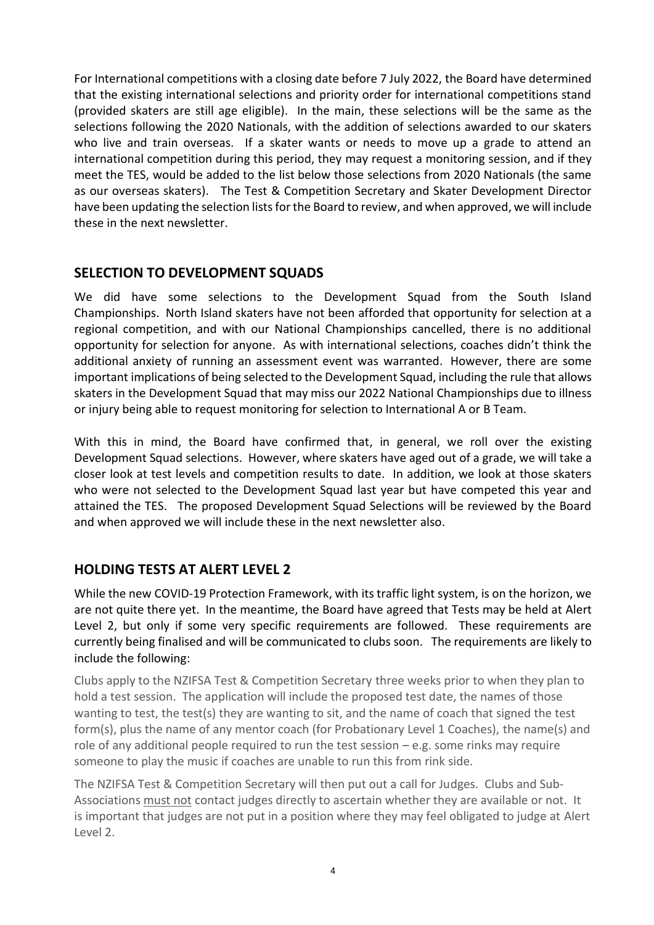For International competitions with a closing date before 7 July 2022, the Board have determined that the existing international selections and priority order for international competitions stand (provided skaters are still age eligible). In the main, these selections will be the same as the selections following the 2020 Nationals, with the addition of selections awarded to our skaters who live and train overseas. If a skater wants or needs to move up a grade to attend an international competition during this period, they may request a monitoring session, and if they meet the TES, would be added to the list below those selections from 2020 Nationals (the same as our overseas skaters). The Test & Competition Secretary and Skater Development Director have been updating the selection lists for the Board to review, and when approved, we will include these in the next newsletter.

# **SELECTION TO DEVELOPMENT SQUADS**

We did have some selections to the Development Squad from the South Island Championships. North Island skaters have not been afforded that opportunity for selection at a regional competition, and with our National Championships cancelled, there is no additional opportunity for selection for anyone. As with international selections, coaches didn't think the additional anxiety of running an assessment event was warranted. However, there are some important implications of being selected to the Development Squad, including the rule that allows skaters in the Development Squad that may miss our 2022 National Championships due to illness or injury being able to request monitoring for selection to International A or B Team.

With this in mind, the Board have confirmed that, in general, we roll over the existing Development Squad selections. However, where skaters have aged out of a grade, we will take a closer look at test levels and competition results to date. In addition, we look at those skaters who were not selected to the Development Squad last year but have competed this year and attained the TES. The proposed Development Squad Selections will be reviewed by the Board and when approved we will include these in the next newsletter also.

# **HOLDING TESTS AT ALERT LEVEL 2**

While the new COVID-19 Protection Framework, with its traffic light system, is on the horizon, we are not quite there yet. In the meantime, the Board have agreed that Tests may be held at Alert Level 2, but only if some very specific requirements are followed. These requirements are currently being finalised and will be communicated to clubs soon. The requirements are likely to include the following:

Clubs apply to the NZIFSA Test & Competition Secretary three weeks prior to when they plan to hold a test session. The application will include the proposed test date, the names of those wanting to test, the test(s) they are wanting to sit, and the name of coach that signed the test form(s), plus the name of any mentor coach (for Probationary Level 1 Coaches), the name(s) and role of any additional people required to run the test session  $-e.g.$  some rinks may require someone to play the music if coaches are unable to run this from rink side.

The NZIFSA Test & Competition Secretary will then put out a call for Judges. Clubs and Sub-Associations must not contact judges directly to ascertain whether they are available or not. It is important that judges are not put in a position where they may feel obligated to judge at Alert Level 2.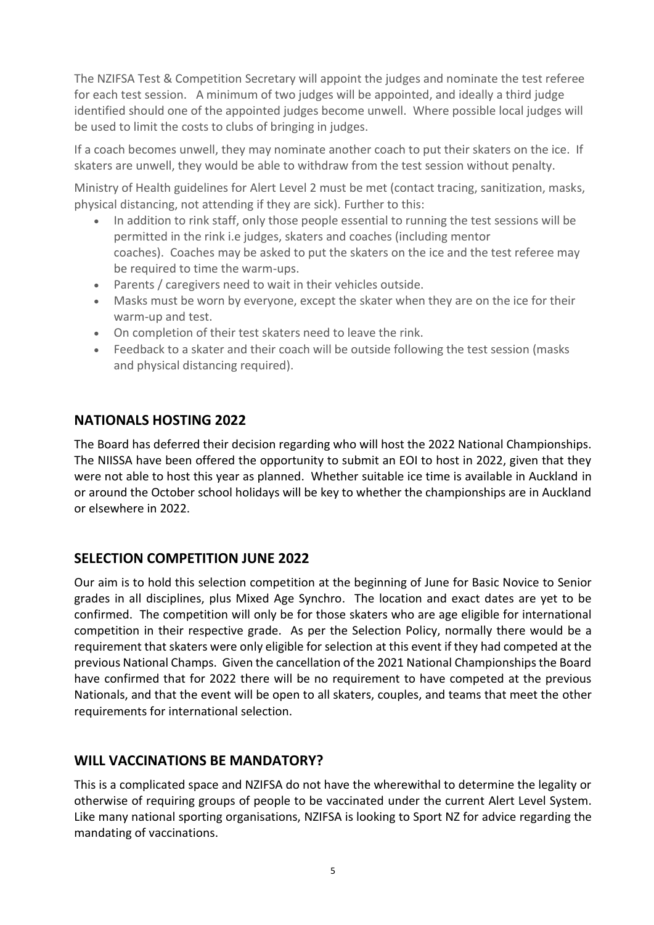The NZIFSA Test & Competition Secretary will appoint the judges and nominate the test referee for each test session. A minimum of two judges will be appointed, and ideally a third judge identified should one of the appointed judges become unwell. Where possible local judges will be used to limit the costs to clubs of bringing in judges.

If a coach becomes unwell, they may nominate another coach to put their skaters on the ice. If skaters are unwell, they would be able to withdraw from the test session without penalty.

Ministry of Health guidelines for Alert Level 2 must be met (contact tracing, sanitization, masks, physical distancing, not attending if they are sick). Further to this:

- In addition to rink staff, only those people essential to running the test sessions will be permitted in the rink i.e judges, skaters and coaches (including mentor coaches). Coaches may be asked to put the skaters on the ice and the test referee may be required to time the warm-ups.
- Parents / caregivers need to wait in their vehicles outside.
- Masks must be worn by everyone, except the skater when they are on the ice for their warm-up and test.
- On completion of their test skaters need to leave the rink.
- Feedback to a skater and their coach will be outside following the test session (masks) and physical distancing required).

# **NATIONALS HOSTING 2022**

The Board has deferred their decision regarding who will host the 2022 National Championships. The NIISSA have been offered the opportunity to submit an EOI to host in 2022, given that they were not able to host this year as planned. Whether suitable ice time is available in Auckland in or around the October school holidays will be key to whether the championships are in Auckland or elsewhere in 2022.

# **SELECTION COMPETITION JUNE 2022**

Our aim is to hold this selection competition at the beginning of June for Basic Novice to Senior grades in all disciplines, plus Mixed Age Synchro. The location and exact dates are yet to be confirmed. The competition will only be for those skaters who are age eligible for international competition in their respective grade. As per the Selection Policy, normally there would be a requirement that skaters were only eligible for selection at this event if they had competed at the previous National Champs. Given the cancellation of the 2021 National Championships the Board have confirmed that for 2022 there will be no requirement to have competed at the previous Nationals, and that the event will be open to all skaters, couples, and teams that meet the other requirements for international selection.

# **WILL VACCINATIONS BE MANDATORY?**

This is a complicated space and NZIFSA do not have the wherewithal to determine the legality or otherwise of requiring groups of people to be vaccinated under the current Alert Level System. Like many national sporting organisations, NZIFSA is looking to Sport NZ for advice regarding the mandating of vaccinations.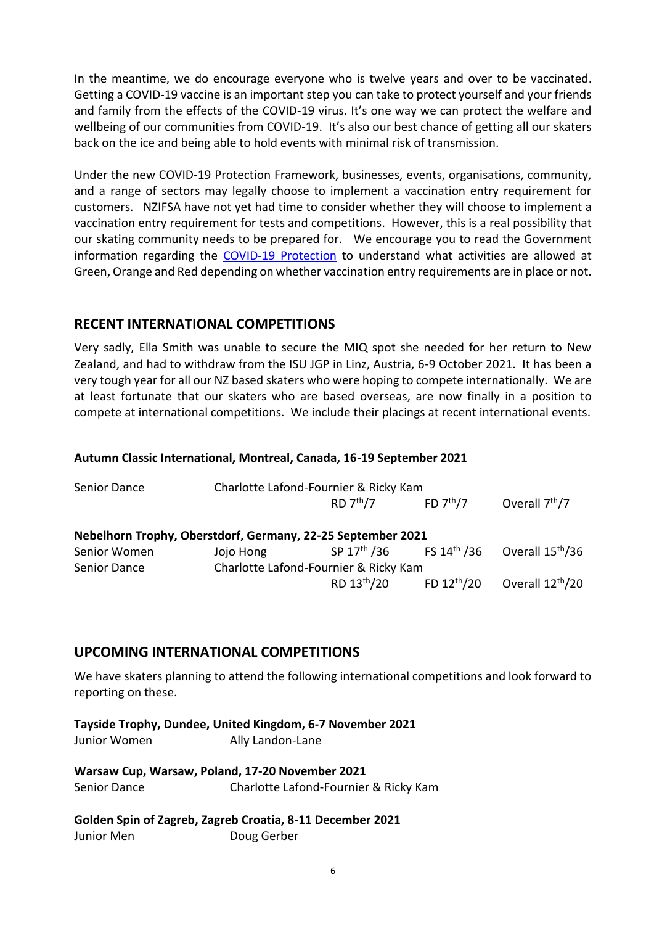In the meantime, we do encourage everyone who is twelve years and over to be vaccinated. Getting a COVID-19 vaccine is an important step you can take to protect yourself and your friends and family from the effects of the COVID-19 virus. It's one way we can protect the welfare and wellbeing of our communities from COVID-19. It's also our best chance of getting all our skaters back on the ice and being able to hold events with minimal risk of transmission.

Under the new COVID-19 Protection Framework, businesses, events, organisations, community, and a range of sectors may legally choose to implement a vaccination entry requirement for customers. NZIFSA have not yet had time to consider whether they will choose to implement a vaccination entry requirement for tests and competitions. However, this is a real possibility that our skating community needs to be prepared for. We encourage you to read the Government information regarding the [COVID-19 Protection](https://covid19.govt.nz/alert-levels-and-updates/covid-19-protection/) to understand what activities are allowed at Green, Orange and Red depending on whether vaccination entry requirements are in place or not.

## **RECENT INTERNATIONAL COMPETITIONS**

Very sadly, Ella Smith was unable to secure the MIQ spot she needed for her return to New Zealand, and had to withdraw from the ISU JGP in Linz, Austria, 6-9 October 2021. It has been a very tough year for all our NZ based skaters who were hoping to compete internationally. We are at least fortunate that our skaters who are based overseas, are now finally in a position to compete at international competitions. We include their placings at recent international events.

#### **Autumn Classic International, Montreal, Canada, 16-19 September 2021**

| Senior Dance | Charlotte Lafond-Fournier & Ricky Kam                       |                         |                                                 |                              |
|--------------|-------------------------------------------------------------|-------------------------|-------------------------------------------------|------------------------------|
|              |                                                             | RD 7 <sup>th</sup> /7   | FD $7th/7$                                      | Overall 7 <sup>th</sup> /7   |
|              | Nebelhorn Trophy, Oberstdorf, Germany, 22-25 September 2021 |                         |                                                 |                              |
| Senior Women | Jojo Hong                                                   |                         | SP 17 <sup>th</sup> /36 FS 14 <sup>th</sup> /36 | Overall 15 <sup>th</sup> /36 |
| Senior Dance | Charlotte Lafond-Fournier & Ricky Kam                       |                         |                                                 |                              |
|              |                                                             | RD 13 <sup>th</sup> /20 | FD $12^{\text{th}}/20$                          | Overall 12 <sup>th</sup> /20 |

### **UPCOMING INTERNATIONAL COMPETITIONS**

We have skaters planning to attend the following international competitions and look forward to reporting on these.

**Tayside Trophy, Dundee, United Kingdom, 6-7 November 2021** Junior Women Ally Landon-Lane

**Warsaw Cup, Warsaw, Poland, 17-20 November 2021** Senior Dance Charlotte Lafond-Fournier & Ricky Kam

#### **Golden Spin of Zagreb, Zagreb Croatia, 8-11 December 2021** Junior Men **Doug Gerber**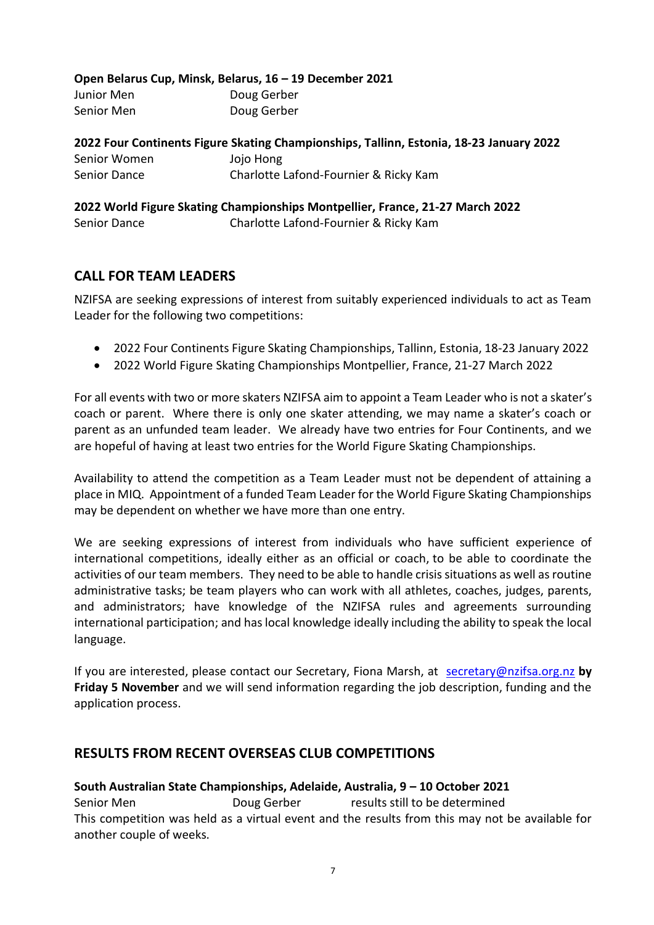|              | Open Belarus Cup, Minsk, Belarus, 16 – 19 December 2021                                 |  |
|--------------|-----------------------------------------------------------------------------------------|--|
| Junior Men   | Doug Gerber                                                                             |  |
| Senior Men   | Doug Gerber                                                                             |  |
|              | 2022 Four Continents Figure Skating Championships, Tallinn, Estonia, 18-23 January 2022 |  |
| Senior Women | Jojo Hong                                                                               |  |
| Senior Dance | Charlotte Lafond-Fournier & Ricky Kam                                                   |  |

**2022 World Figure Skating Championships Montpellier, France, 21-27 March 2022** Senior Dance Charlotte Lafond-Fournier & Ricky Kam

# **CALL FOR TEAM LEADERS**

NZIFSA are seeking expressions of interest from suitably experienced individuals to act as Team Leader for the following two competitions:

- 2022 [Four Continents Figure Skating Championships,](https://en.wikipedia.org/wiki/Four_Continents_Figure_Skating_Championships) Tallinn, Estonia, 18-23 January 2022
- 2022 World Figure Skating Championships Montpellier, France, 21-27 March 2022

For all events with two or more skaters NZIFSA aim to appoint a Team Leader who is not a skater's coach or parent. Where there is only one skater attending, we may name a skater's coach or parent as an unfunded team leader. We already have two entries for Four Continents, and we are hopeful of having at least two entries for the World Figure Skating Championships.

Availability to attend the competition as a Team Leader must not be dependent of attaining a place in MIQ. Appointment of a funded Team Leader for the World Figure Skating Championships may be dependent on whether we have more than one entry.

We are seeking expressions of interest from individuals who have sufficient experience of international competitions, ideally either as an official or coach, to be able to coordinate the activities of our team members. They need to be able to handle crisis situations as well as routine administrative tasks; be team players who can work with all athletes, coaches, judges, parents, and administrators; have knowledge of the NZIFSA rules and agreements surrounding international participation; and has local knowledge ideally including the ability to speak the local language.

If you are interested, please contact our Secretary, Fiona Marsh, at [secretary@nzifsa.org.nz](mailto:secretary@nzifsa.org.nz) by **Friday 5 November** and we will send information regarding the job description, funding and the application process.

# **RESULTS FROM RECENT OVERSEAS CLUB COMPETITIONS**

**South Australian State Championships, Adelaide, Australia, 9 – 10 October 2021** Senior Men Doug Gerber results still to be determined This competition was held as a virtual event and the results from this may not be available for another couple of weeks.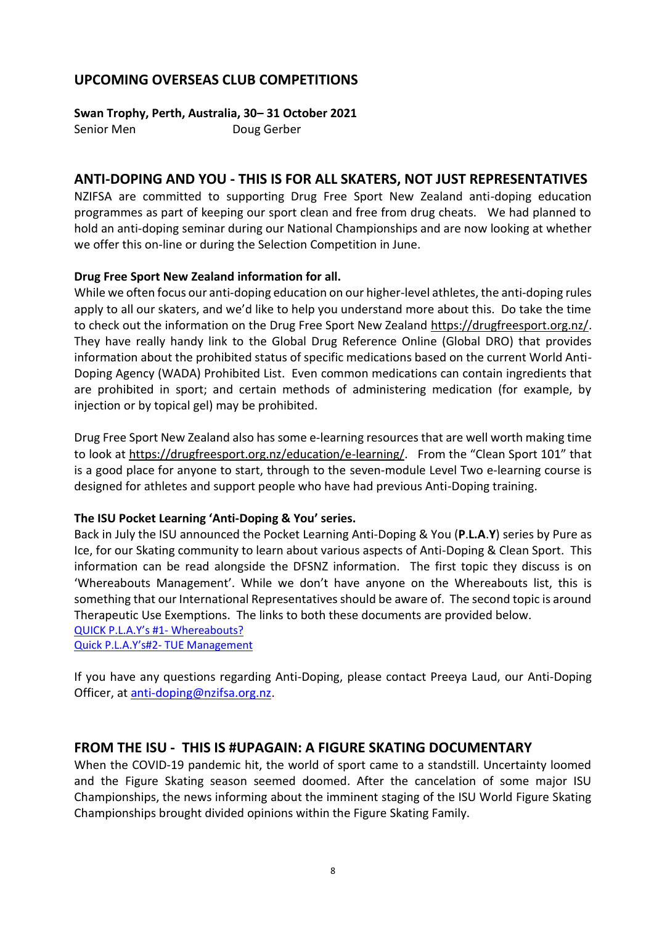# **UPCOMING OVERSEAS CLUB COMPETITIONS**

**Swan Trophy, Perth, Australia, 30– 31 October 2021** Senior Men **Doug Gerber** 

### **ANTI-DOPING AND YOU - THIS IS FOR ALL SKATERS, NOT JUST REPRESENTATIVES**

NZIFSA are committed to supporting Drug Free Sport New Zealand anti-doping education programmes as part of keeping our sport clean and free from drug cheats. We had planned to hold an anti-doping seminar during our National Championships and are now looking at whether we offer this on-line or during the Selection Competition in June.

### **Drug Free Sport New Zealand information for all.**

While we often focus our anti-doping education on our higher-level athletes, the anti-doping rules apply to all our skaters, and we'd like to help you understand more about this. Do take the time to check out the information on the Drug Free Sport New Zealand [https://drugfreesport.org.nz/.](https://drugfreesport.org.nz/) They have really handy link to the Global Drug Reference Online (Global DRO) that provides information about the prohibited status of specific medications based on the current World Anti-Doping Agency (WADA) Prohibited List. Even common medications can contain ingredients that are prohibited in sport; and certain methods of administering medication (for example, by injection or by topical gel) may be prohibited.

Drug Free Sport New Zealand also has some e-learning resources that are well worth making time to look at<https://drugfreesport.org.nz/education/e-learning/>. From the "Clean Sport 101" that is a good place for anyone to start, through to the seven-module Level Two e-learning course is designed for athletes and support people who have had previous Anti-Doping training.

#### **The ISU Pocket Learning 'Anti-Doping & You' series.**

Back in July the ISU announced the Pocket Learning Anti-Doping & You (**P**.**L.A**.**Y**) series by Pure as Ice, for our Skating community to learn about various aspects of Anti-Doping & Clean Sport. This information can be read alongside the DFSNZ information. The first topic they discuss is on 'Whereabouts Management'. While we don't have anyone on the Whereabouts list, this is something that our International Representatives should be aware of. The second topic is around Therapeutic Use Exemptions. The links to both these documents are provided below. [QUICK P.L.A.Y's #1](https://www.isu.org/docman-documents-links/isu-files/documents-communications/clean-sport-1/25976-quick-p-l-a-y-1-whereabouts-management/file)- Whereabouts?

Quick P.L.A.Y's#2- [TUE Management](https://www.isu.org/docman-documents-links/isu-files/documents-communications/clean-sport-1/26116-quick-p-l-a-y-s-1-tue-management/file)

If you have any questions regarding Anti-Doping, please contact Preeya Laud, our Anti-Doping Officer, at [anti-doping@nzifsa.org.nz.](mailto:anti-doping@nzifsa.org.nz)

### **FROM THE ISU - THIS IS #UPAGAIN: A FIGURE SKATING DOCUMENTARY**

When the COVID-19 pandemic hit, the world of sport came to a standstill. Uncertainty loomed and the Figure Skating season seemed doomed. After the cancelation of some major ISU Championships, the news informing about the imminent staging of the ISU World Figure Skating Championships brought divided opinions within the Figure Skating Family.